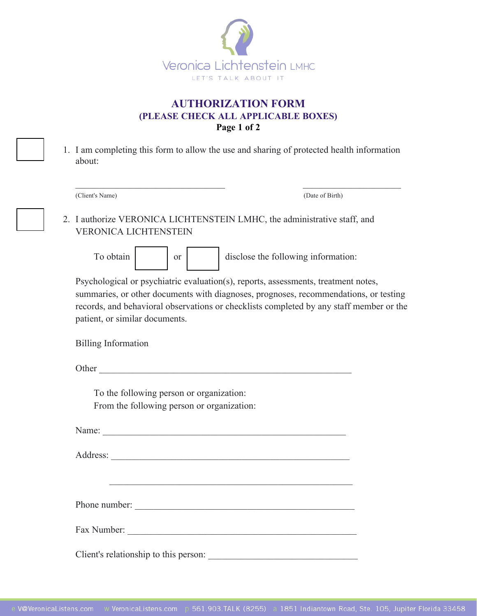

## **AUTHORIZATION FORM (PLEASE CHECK ALL APPLICABLE BOXES) Page 1 of 2**

| 1. I am completing this form to allow the use and sharing of protected health information |
|-------------------------------------------------------------------------------------------|
| about:                                                                                    |

| (Client's Name)                                                                                                                                                                                                                                                                                         | (Date of Birth)                                             |  |  |
|---------------------------------------------------------------------------------------------------------------------------------------------------------------------------------------------------------------------------------------------------------------------------------------------------------|-------------------------------------------------------------|--|--|
| 2. I authorize VERONICA LICHTENSTEIN LMHC, the administrative staff, and<br><b>VERONICA LICHTENSTEIN</b>                                                                                                                                                                                                |                                                             |  |  |
| To obtain<br><sub>or</sub>                                                                                                                                                                                                                                                                              | disclose the following information:                         |  |  |
| Psychological or psychiatric evaluation(s), reports, assessments, treatment notes,<br>summaries, or other documents with diagnoses, prognoses, recommendations, or testing<br>records, and behavioral observations or checklists completed by any staff member or the<br>patient, or similar documents. |                                                             |  |  |
| <b>Billing Information</b>                                                                                                                                                                                                                                                                              |                                                             |  |  |
|                                                                                                                                                                                                                                                                                                         |                                                             |  |  |
| To the following person or organization:<br>From the following person or organization:                                                                                                                                                                                                                  |                                                             |  |  |
| Name: Name:                                                                                                                                                                                                                                                                                             |                                                             |  |  |
|                                                                                                                                                                                                                                                                                                         |                                                             |  |  |
|                                                                                                                                                                                                                                                                                                         | <u> 1989 - Johann Stoff, amerikansk politiker (d. 1989)</u> |  |  |
|                                                                                                                                                                                                                                                                                                         |                                                             |  |  |
|                                                                                                                                                                                                                                                                                                         |                                                             |  |  |
|                                                                                                                                                                                                                                                                                                         |                                                             |  |  |